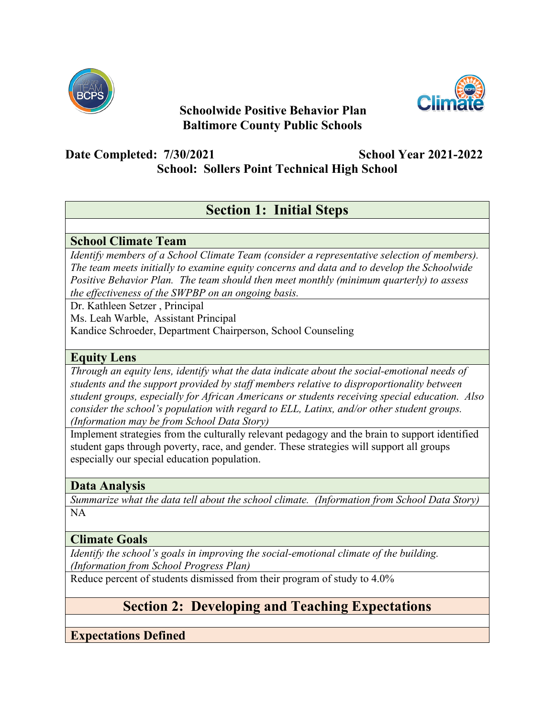

## **Schoolwide Positive Behavior Plan Baltimore County Public Schools**



## **Date Completed: 7/30/2021 School Year 2021-2022**

**School: Sollers Point Technical High School**

# **Section 1: Initial Steps**

## **School Climate Team**

*Identify members of a School Climate Team (consider a representative selection of members). The team meets initially to examine equity concerns and data and to develop the Schoolwide Positive Behavior Plan. The team should then meet monthly (minimum quarterly) to assess the effectiveness of the SWPBP on an ongoing basis.*

Dr. Kathleen Setzer , Principal

Ms. Leah Warble, Assistant Principal

Kandice Schroeder, Department Chairperson, School Counseling

#### **Equity Lens**

*Through an equity lens, identify what the data indicate about the social-emotional needs of students and the support provided by staff members relative to disproportionality between student groups, especially for African Americans or students receiving special education. Also consider the school's population with regard to ELL, Latinx, and/or other student groups. (Information may be from School Data Story)*

Implement strategies from the culturally relevant pedagogy and the brain to support identified student gaps through poverty, race, and gender. These strategies will support all groups especially our special education population.

### **Data Analysis**

*Summarize what the data tell about the school climate. (Information from School Data Story)* NA

### **Climate Goals**

*Identify the school's goals in improving the social-emotional climate of the building. (Information from School Progress Plan)*

Reduce percent of students dismissed from their program of study to 4.0%

# **Section 2: Developing and Teaching Expectations**

**Expectations Defined**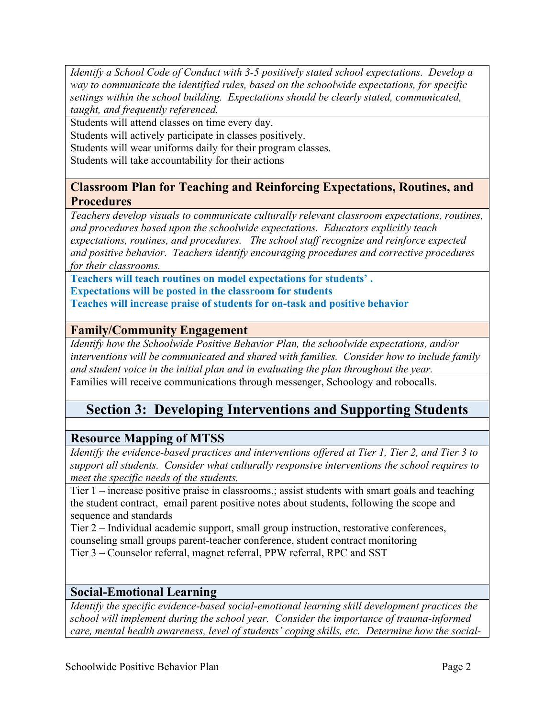*Identify a School Code of Conduct with 3-5 positively stated school expectations. Develop a way to communicate the identified rules, based on the schoolwide expectations, for specific settings within the school building. Expectations should be clearly stated, communicated, taught, and frequently referenced.* 

Students will attend classes on time every day.

Students will actively participate in classes positively.

Students will wear uniforms daily for their program classes.

Students will take accountability for their actions

#### **Classroom Plan for Teaching and Reinforcing Expectations, Routines, and Procedures**

*Teachers develop visuals to communicate culturally relevant classroom expectations, routines, and procedures based upon the schoolwide expectations. Educators explicitly teach expectations, routines, and procedures. The school staff recognize and reinforce expected and positive behavior. Teachers identify encouraging procedures and corrective procedures for their classrooms.* 

**Teachers will teach routines on model expectations for students' . Expectations will be posted in the classroom for students Teaches will increase praise of students for on-task and positive behavior** 

#### **Family/Community Engagement**

*Identify how the Schoolwide Positive Behavior Plan, the schoolwide expectations, and/or interventions will be communicated and shared with families. Consider how to include family and student voice in the initial plan and in evaluating the plan throughout the year.* 

Families will receive communications through messenger, Schoology and robocalls.

## **Section 3: Developing Interventions and Supporting Students**

#### **Resource Mapping of MTSS**

*Identify the evidence-based practices and interventions offered at Tier 1, Tier 2, and Tier 3 to support all students. Consider what culturally responsive interventions the school requires to meet the specific needs of the students.* 

Tier 1 – increase positive praise in classrooms.; assist students with smart goals and teaching the student contract, email parent positive notes about students, following the scope and sequence and standards

Tier 2 – Individual academic support, small group instruction, restorative conferences, counseling small groups parent-teacher conference, student contract monitoring Tier 3 – Counselor referral, magnet referral, PPW referral, RPC and SST

#### **Social-Emotional Learning**

*Identify the specific evidence-based social-emotional learning skill development practices the school will implement during the school year. Consider the importance of trauma-informed care, mental health awareness, level of students' coping skills, etc. Determine how the social-*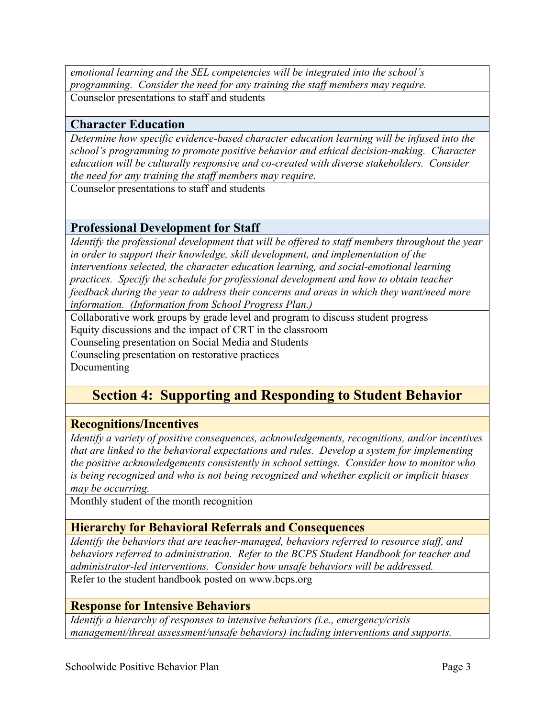*emotional learning and the SEL competencies will be integrated into the school's programming. Consider the need for any training the staff members may require.* Counselor presentations to staff and students

#### **Character Education**

*Determine how specific evidence-based character education learning will be infused into the school's programming to promote positive behavior and ethical decision-making. Character education will be culturally responsive and co-created with diverse stakeholders. Consider the need for any training the staff members may require.* 

Counselor presentations to staff and students

#### **Professional Development for Staff**

*Identify the professional development that will be offered to staff members throughout the year in order to support their knowledge, skill development, and implementation of the interventions selected, the character education learning, and social-emotional learning practices. Specify the schedule for professional development and how to obtain teacher feedback during the year to address their concerns and areas in which they want/need more information. (Information from School Progress Plan.)*

Collaborative work groups by grade level and program to discuss student progress Equity discussions and the impact of CRT in the classroom Counseling presentation on Social Media and Students Counseling presentation on restorative practices Documenting

## **Section 4: Supporting and Responding to Student Behavior**

#### **Recognitions/Incentives**

*Identify a variety of positive consequences, acknowledgements, recognitions, and/or incentives that are linked to the behavioral expectations and rules. Develop a system for implementing the positive acknowledgements consistently in school settings. Consider how to monitor who is being recognized and who is not being recognized and whether explicit or implicit biases may be occurring.* 

Monthly student of the month recognition

#### **Hierarchy for Behavioral Referrals and Consequences**

*Identify the behaviors that are teacher-managed, behaviors referred to resource staff, and behaviors referred to administration. Refer to the BCPS Student Handbook for teacher and administrator-led interventions. Consider how unsafe behaviors will be addressed.* 

Refer to the student handbook posted on www.bcps.org

#### **Response for Intensive Behaviors**

*Identify a hierarchy of responses to intensive behaviors (i.e., emergency/crisis management/threat assessment/unsafe behaviors) including interventions and supports.*